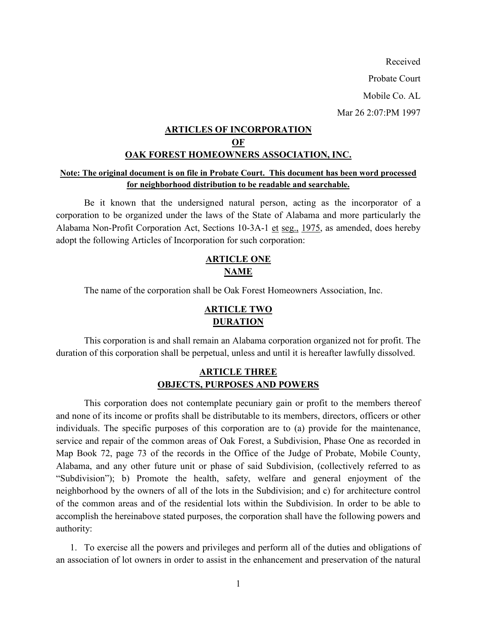Received Probate Court Mobile Co. AL Mar 26 2:07:PM 1997

## **ARTICLES OF INCORPORATION OF OAK FOREST HOMEOWNERS ASSOCIATION, INC.**

### **Note: The original document is on file in Probate Court. This document has been word processed for neighborhood distribution to be readable and searchable.**

 Be it known that the undersigned natural person, acting as the incorporator of a corporation to be organized under the laws of the State of Alabama and more particularly the Alabama Non-Profit Corporation Act, Sections 10-3A-1 et seg., 1975, as amended, does hereby adopt the following Articles of Incorporation for such corporation:

## **ARTICLE ONE NAME**

The name of the corporation shall be Oak Forest Homeowners Association, Inc.

# **ARTICLE TWO DURATION**

 This corporation is and shall remain an Alabama corporation organized not for profit. The duration of this corporation shall be perpetual, unless and until it is hereafter lawfully dissolved.

### **ARTICLE THREE OBJECTS, PURPOSES AND POWERS**

 This corporation does not contemplate pecuniary gain or profit to the members thereof and none of its income or profits shall be distributable to its members, directors, officers or other individuals. The specific purposes of this corporation are to (a) provide for the maintenance, service and repair of the common areas of Oak Forest, a Subdivision, Phase One as recorded in Map Book 72, page 73 of the records in the Office of the Judge of Probate, Mobile County, Alabama, and any other future unit or phase of said Subdivision, (collectively referred to as "Subdivision"); b) Promote the health, safety, welfare and general enjoyment of the neighborhood by the owners of all of the lots in the Subdivision; and c) for architecture control of the common areas and of the residential lots within the Subdivision. In order to be able to accomplish the hereinabove stated purposes, the corporation shall have the following powers and authority:

1. To exercise all the powers and privileges and perform all of the duties and obligations of an association of lot owners in order to assist in the enhancement and preservation of the natural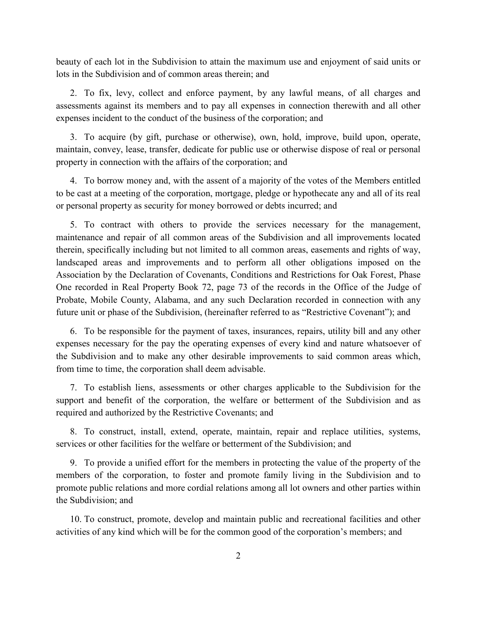beauty of each lot in the Subdivision to attain the maximum use and enjoyment of said units or lots in the Subdivision and of common areas therein; and

2. To fix, levy, collect and enforce payment, by any lawful means, of all charges and assessments against its members and to pay all expenses in connection therewith and all other expenses incident to the conduct of the business of the corporation; and

3. To acquire (by gift, purchase or otherwise), own, hold, improve, build upon, operate, maintain, convey, lease, transfer, dedicate for public use or otherwise dispose of real or personal property in connection with the affairs of the corporation; and

4. To borrow money and, with the assent of a majority of the votes of the Members entitled to be cast at a meeting of the corporation, mortgage, pledge or hypothecate any and all of its real or personal property as security for money borrowed or debts incurred; and

5. To contract with others to provide the services necessary for the management, maintenance and repair of all common areas of the Subdivision and all improvements located therein, specifically including but not limited to all common areas, easements and rights of way, landscaped areas and improvements and to perform all other obligations imposed on the Association by the Declaration of Covenants, Conditions and Restrictions for Oak Forest, Phase One recorded in Real Property Book 72, page 73 of the records in the Office of the Judge of Probate, Mobile County, Alabama, and any such Declaration recorded in connection with any future unit or phase of the Subdivision, (hereinafter referred to as "Restrictive Covenant"); and

6. To be responsible for the payment of taxes, insurances, repairs, utility bill and any other expenses necessary for the pay the operating expenses of every kind and nature whatsoever of the Subdivision and to make any other desirable improvements to said common areas which, from time to time, the corporation shall deem advisable.

7. To establish liens, assessments or other charges applicable to the Subdivision for the support and benefit of the corporation, the welfare or betterment of the Subdivision and as required and authorized by the Restrictive Covenants; and

8. To construct, install, extend, operate, maintain, repair and replace utilities, systems, services or other facilities for the welfare or betterment of the Subdivision; and

9. To provide a unified effort for the members in protecting the value of the property of the members of the corporation, to foster and promote family living in the Subdivision and to promote public relations and more cordial relations among all lot owners and other parties within the Subdivision; and

10. To construct, promote, develop and maintain public and recreational facilities and other activities of any kind which will be for the common good of the corporation's members; and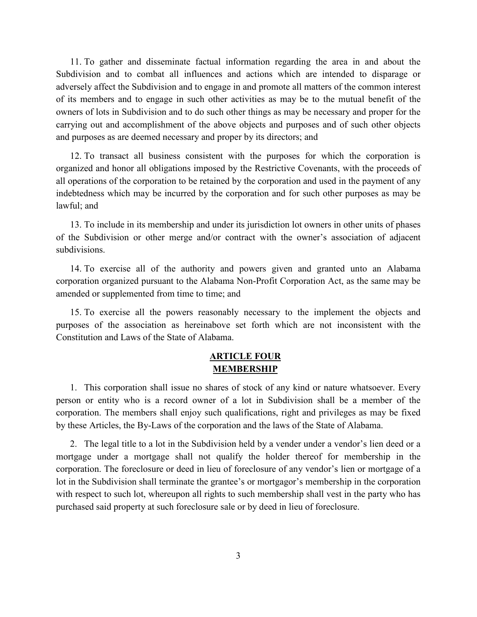11. To gather and disseminate factual information regarding the area in and about the Subdivision and to combat all influences and actions which are intended to disparage or adversely affect the Subdivision and to engage in and promote all matters of the common interest of its members and to engage in such other activities as may be to the mutual benefit of the owners of lots in Subdivision and to do such other things as may be necessary and proper for the carrying out and accomplishment of the above objects and purposes and of such other objects and purposes as are deemed necessary and proper by its directors; and

12. To transact all business consistent with the purposes for which the corporation is organized and honor all obligations imposed by the Restrictive Covenants, with the proceeds of all operations of the corporation to be retained by the corporation and used in the payment of any indebtedness which may be incurred by the corporation and for such other purposes as may be lawful; and

13. To include in its membership and under its jurisdiction lot owners in other units of phases of the Subdivision or other merge and/or contract with the owner's association of adjacent subdivisions.

14. To exercise all of the authority and powers given and granted unto an Alabama corporation organized pursuant to the Alabama Non-Profit Corporation Act, as the same may be amended or supplemented from time to time; and

15. To exercise all the powers reasonably necessary to the implement the objects and purposes of the association as hereinabove set forth which are not inconsistent with the Constitution and Laws of the State of Alabama.

### **ARTICLE FOUR MEMBERSHIP**

1. This corporation shall issue no shares of stock of any kind or nature whatsoever. Every person or entity who is a record owner of a lot in Subdivision shall be a member of the corporation. The members shall enjoy such qualifications, right and privileges as may be fixed by these Articles, the By-Laws of the corporation and the laws of the State of Alabama.

2. The legal title to a lot in the Subdivision held by a vender under a vendor's lien deed or a mortgage under a mortgage shall not qualify the holder thereof for membership in the corporation. The foreclosure or deed in lieu of foreclosure of any vendor's lien or mortgage of a lot in the Subdivision shall terminate the grantee's or mortgagor's membership in the corporation with respect to such lot, whereupon all rights to such membership shall vest in the party who has purchased said property at such foreclosure sale or by deed in lieu of foreclosure.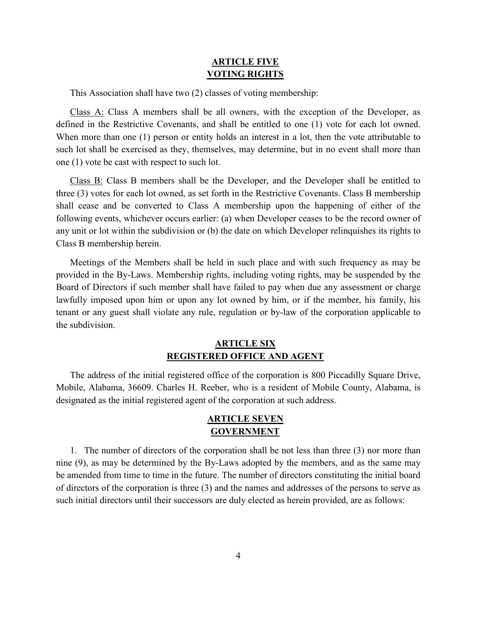#### **ARTICLE FIVE VOTING RIGHTS**

This Association shall have two (2) classes of voting membership:

Class A: Class A members shall be all owners, with the exception of the Developer, as defined in the Restrictive Covenants, and shall be entitled to one (1) vote for each lot owned. When more than one (1) person or entity holds an interest in a lot, then the vote attributable to such lot shall be exercised as they, themselves, may determine, but in no event shall more than one (1) vote be cast with respect to such lot.

Class B: Class B members shall be the Developer, and the Developer shall be entitled to three (3) votes for each lot owned, as set forth in the Restrictive Covenants. Class B membership shall cease and be converted to Class A membership upon the happening of either of the following events, whichever occurs earlier: (a) when Developer ceases to be the record owner of any unit or lot within the subdivision or (b) the date on which Developer relinquishes its rights to Class B membership herein.

Meetings of the Members shall be held in such place and with such frequency as may be provided in the By-Laws. Membership rights, including voting rights, may be suspended by the Board of Directors if such member shall have failed to pay when due any assessment or charge lawfully imposed upon him or upon any lot owned by him, or if the member, his family, his tenant or any guest shall violate any rule, regulation or by-law of the corporation applicable to the subdivision.

### **ARTICLE SIX REGISTERED OFFICE AND AGENT**

The address of the initial registered office of the corporation is 800 Piccadilly Square Drive, Mobile, Alabama, 36609. Charles H. Reeber, who is a resident of Mobile County, Alabama, is designated as the initial registered agent of the corporation at such address.

#### **ARTICLE SEVEN GOVERNMENT**

1. The number of directors of the corporation shall be not less than three (3) nor more than nine (9), as may be determined by the By-Laws adopted by the members, and as the same may be amended from time to time in the future. The number of directors constituting the initial board of directors of the corporation is three (3) and the names and addresses of the persons to serve as such initial directors until their successors are duly elected as herein provided, are as follows: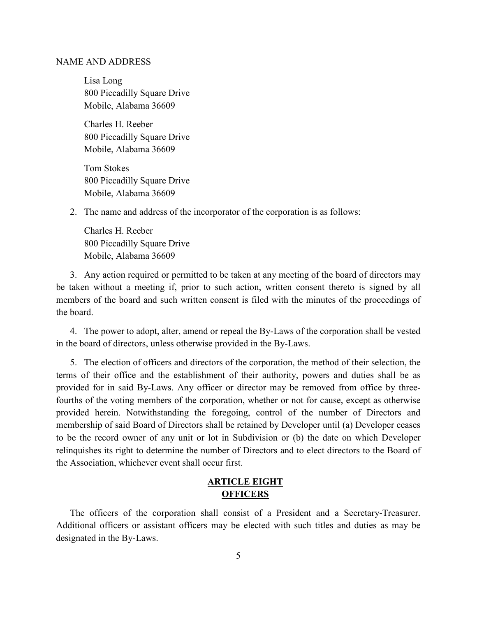#### NAME AND ADDRESS

Lisa Long 800 Piccadilly Square Drive Mobile, Alabama 36609

Charles H. Reeber 800 Piccadilly Square Drive Mobile, Alabama 36609

Tom Stokes 800 Piccadilly Square Drive Mobile, Alabama 36609

2. The name and address of the incorporator of the corporation is as follows:

Charles H. Reeber 800 Piccadilly Square Drive Mobile, Alabama 36609

3. Any action required or permitted to be taken at any meeting of the board of directors may be taken without a meeting if, prior to such action, written consent thereto is signed by all members of the board and such written consent is filed with the minutes of the proceedings of the board.

4. The power to adopt, alter, amend or repeal the By-Laws of the corporation shall be vested in the board of directors, unless otherwise provided in the By-Laws.

5. The election of officers and directors of the corporation, the method of their selection, the terms of their office and the establishment of their authority, powers and duties shall be as provided for in said By-Laws. Any officer or director may be removed from office by threefourths of the voting members of the corporation, whether or not for cause, except as otherwise provided herein. Notwithstanding the foregoing, control of the number of Directors and membership of said Board of Directors shall be retained by Developer until (a) Developer ceases to be the record owner of any unit or lot in Subdivision or (b) the date on which Developer relinquishes its right to determine the number of Directors and to elect directors to the Board of the Association, whichever event shall occur first.

### **ARTICLE EIGHT OFFICERS**

The officers of the corporation shall consist of a President and a Secretary-Treasurer. Additional officers or assistant officers may be elected with such titles and duties as may be designated in the By-Laws.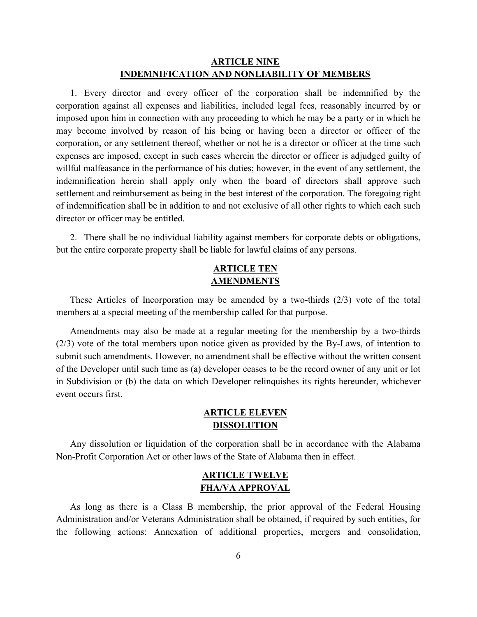### **ARTICLE NINE INDEMNIFICATION AND NONLIABILITY OF MEMBERS**

1. Every director and every officer of the corporation shall be indemnified by the corporation against all expenses and liabilities, included legal fees, reasonably incurred by or imposed upon him in connection with any proceeding to which he may be a party or in which he may become involved by reason of his being or having been a director or officer of the corporation, or any settlement thereof, whether or not he is a director or officer at the time such expenses are imposed, except in such cases wherein the director or officer is adjudged guilty of willful malfeasance in the performance of his duties; however, in the event of any settlement, the indemnification herein shall apply only when the board of directors shall approve such settlement and reimbursement as being in the best interest of the corporation. The foregoing right of indemnification shall be in addition to and not exclusive of all other rights to which each such director or officer may be entitled.

2. There shall be no individual liability against members for corporate debts or obligations, but the entire corporate property shall be liable for lawful claims of any persons.

### **ARTICLE TEN AMENDMENTS**

These Articles of Incorporation may be amended by a two-thirds (2/3) vote of the total members at a special meeting of the membership called for that purpose.

Amendments may also be made at a regular meeting for the membership by a two-thirds (2/3) vote of the total members upon notice given as provided by the By-Laws, of intention to submit such amendments. However, no amendment shall be effective without the written consent of the Developer until such time as (a) developer ceases to be the record owner of any unit or lot in Subdivision or (b) the data on which Developer relinquishes its rights hereunder, whichever event occurs first.

### **ARTICLE ELEVEN DISSOLUTION**

Any dissolution or liquidation of the corporation shall be in accordance with the Alabama Non-Profit Corporation Act or other laws of the State of Alabama then in effect.

### **ARTICLE TWELVE FHA/VA APPROVAL**

As long as there is a Class B membership, the prior approval of the Federal Housing Administration and/or Veterans Administration shall be obtained, if required by such entities, for the following actions: Annexation of additional properties, mergers and consolidation,